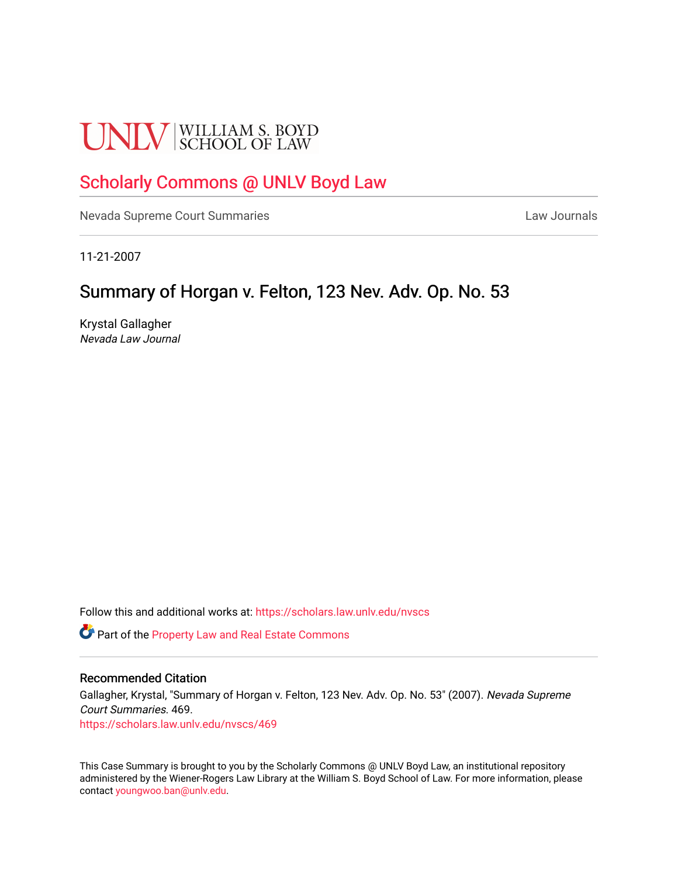# **UNLV** SCHOOL OF LAW

## [Scholarly Commons @ UNLV Boyd Law](https://scholars.law.unlv.edu/)

[Nevada Supreme Court Summaries](https://scholars.law.unlv.edu/nvscs) **Law Journals** Law Journals

11-21-2007

### Summary of Horgan v. Felton, 123 Nev. Adv. Op. No. 53.

Krystal Gallagher Nevada Law Journal

Follow this and additional works at: [https://scholars.law.unlv.edu/nvscs](https://scholars.law.unlv.edu/nvscs?utm_source=scholars.law.unlv.edu%2Fnvscs%2F469&utm_medium=PDF&utm_campaign=PDFCoverPages)

**C** Part of the Property Law and Real Estate Commons

#### Recommended Citation

Gallagher, Krystal, "Summary of Horgan v. Felton, 123 Nev. Adv. Op. No. 53" (2007). Nevada Supreme Court Summaries. 469.

[https://scholars.law.unlv.edu/nvscs/469](https://scholars.law.unlv.edu/nvscs/469?utm_source=scholars.law.unlv.edu%2Fnvscs%2F469&utm_medium=PDF&utm_campaign=PDFCoverPages)

This Case Summary is brought to you by the Scholarly Commons @ UNLV Boyd Law, an institutional repository administered by the Wiener-Rogers Law Library at the William S. Boyd School of Law. For more information, please contact [youngwoo.ban@unlv.edu](mailto:youngwoo.ban@unlv.edu).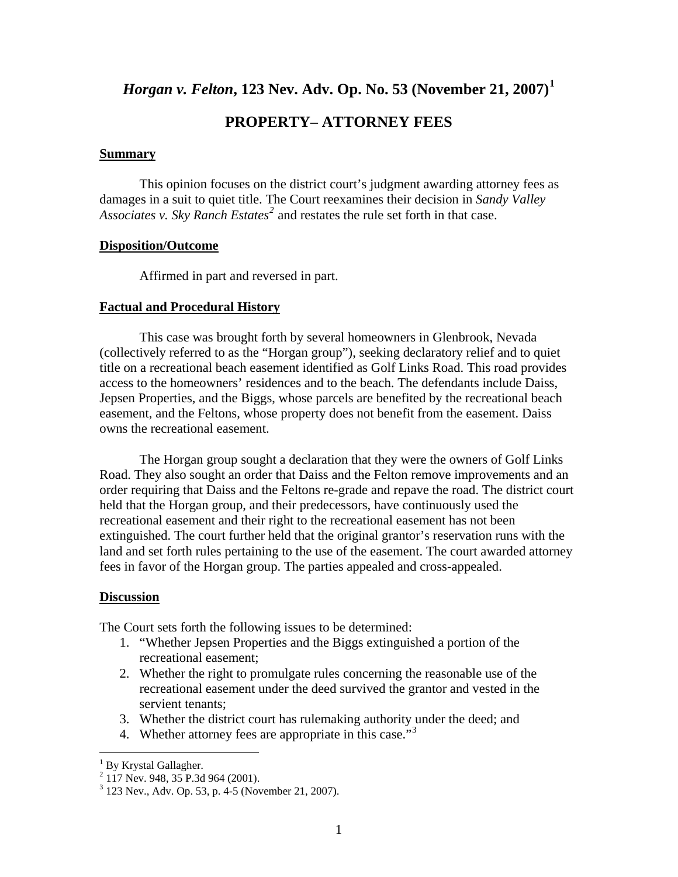*Horgan v. Felton***, 123 Nev. Adv. Op. No. 53 (November 21, 2007)[1](#page-1-0)**

#### **PROPERTY– ATTORNEY FEES**

#### **Summary**

 This opinion focuses on the district court's judgment awarding attorney fees as damages in a suit to quiet title. The Court reexamines their decision in *Sandy Valley*  Associates v. Sky Ranch Estates<sup>[2](#page-1-1)</sup> and restates the rule set forth in that case.

#### **Disposition/Outcome**

Affirmed in part and reversed in part.

#### **Factual and Procedural History**

 This case was brought forth by several homeowners in Glenbrook, Nevada (collectively referred to as the "Horgan group"), seeking declaratory relief and to quiet title on a recreational beach easement identified as Golf Links Road. This road provides access to the homeowners' residences and to the beach. The defendants include Daiss, Jepsen Properties, and the Biggs, whose parcels are benefited by the recreational beach easement, and the Feltons, whose property does not benefit from the easement. Daiss owns the recreational easement.

 The Horgan group sought a declaration that they were the owners of Golf Links Road. They also sought an order that Daiss and the Felton remove improvements and an order requiring that Daiss and the Feltons re-grade and repave the road. The district court held that the Horgan group, and their predecessors, have continuously used the recreational easement and their right to the recreational easement has not been extinguished. The court further held that the original grantor's reservation runs with the land and set forth rules pertaining to the use of the easement. The court awarded attorney fees in favor of the Horgan group. The parties appealed and cross-appealed.

#### **Discussion**

The Court sets forth the following issues to be determined:

- 1. "Whether Jepsen Properties and the Biggs extinguished a portion of the recreational easement;
- 2. Whether the right to promulgate rules concerning the reasonable use of the recreational easement under the deed survived the grantor and vested in the servient tenants;
- 3. Whether the district court has rulemaking authority under the deed; and
- 4. Whether attorney fees are appropriate in this case."<sup>[3](#page-1-2)</sup>

<span id="page-1-0"></span> 1 By Krystal Gallagher.

<span id="page-1-1"></span><sup>&</sup>lt;sup>2</sup> 117 Nev. 948, 35 P.3d 964 (2001).

<span id="page-1-2"></span><sup>3</sup> 123 Nev., Adv. Op. 53, p. 4-5 (November 21, 2007).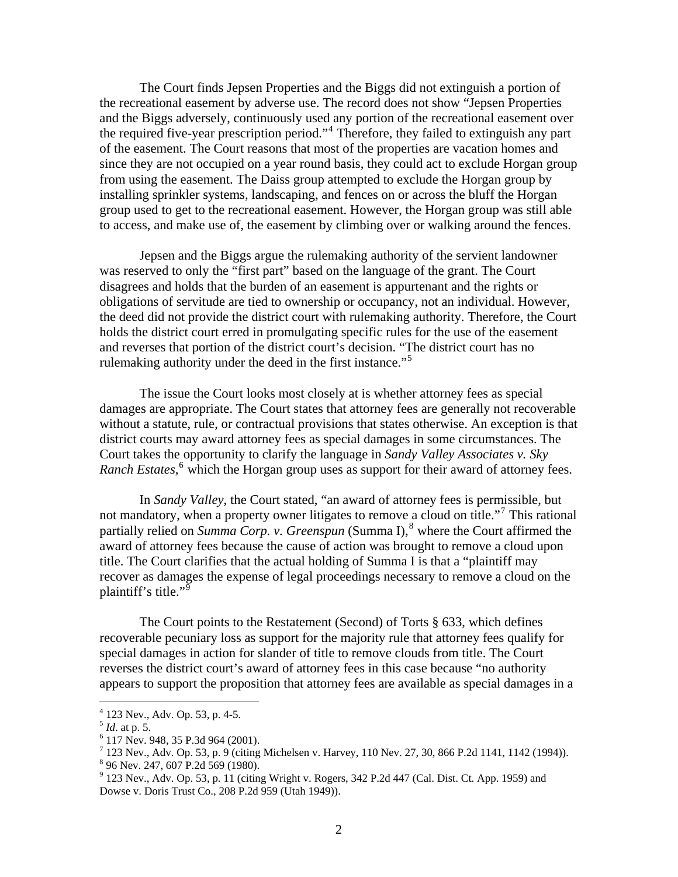The Court finds Jepsen Properties and the Biggs did not extinguish a portion of the recreational easement by adverse use. The record does not show "Jepsen Properties and the Biggs adversely, continuously used any portion of the recreational easement over the required five-year prescription period."<sup>[4](#page-2-0)</sup> Therefore, they failed to extinguish any part of the easement. The Court reasons that most of the properties are vacation homes and since they are not occupied on a year round basis, they could act to exclude Horgan group from using the easement. The Daiss group attempted to exclude the Horgan group by installing sprinkler systems, landscaping, and fences on or across the bluff the Horgan group used to get to the recreational easement. However, the Horgan group was still able to access, and make use of, the easement by climbing over or walking around the fences.

 Jepsen and the Biggs argue the rulemaking authority of the servient landowner was reserved to only the "first part" based on the language of the grant. The Court disagrees and holds that the burden of an easement is appurtenant and the rights or obligations of servitude are tied to ownership or occupancy, not an individual. However, the deed did not provide the district court with rulemaking authority. Therefore, the Court holds the district court erred in promulgating specific rules for the use of the easement and reverses that portion of the district court's decision. "The district court has no rulemaking authority under the deed in the first instance."<sup>[5](#page-2-1)</sup>

 The issue the Court looks most closely at is whether attorney fees as special damages are appropriate. The Court states that attorney fees are generally not recoverable without a statute, rule, or contractual provisions that states otherwise. An exception is that district courts may award attorney fees as special damages in some circumstances. The Court takes the opportunity to clarify the language in *Sandy Valley Associates v. Sky*  Ranch Estates,<sup>[6](#page-2-2)</sup> which the Horgan group uses as support for their award of attorney fees.

 In *Sandy Valley*, the Court stated, "an award of attorney fees is permissible, but not mandatory, when a property owner litigates to remove a cloud on title."<sup>[7](#page-2-3)</sup> This rational partially relied on *Summa Corp. v. Greenspun* (Summa I),<sup>[8](#page-2-4)</sup> where the Court affirmed the award of attorney fees because the cause of action was brought to remove a cloud upon title. The Court clarifies that the actual holding of Summa I is that a "plaintiff may recover as damages the expense of legal proceedings necessary to remove a cloud on the plaintiff's title."<sup>[9](#page-2-5)</sup>

The Court points to the Restatement (Second) of Torts § 633, which defines recoverable pecuniary loss as support for the majority rule that attorney fees qualify for special damages in action for slander of title to remove clouds from title. The Court reverses the district court's award of attorney fees in this case because "no authority appears to support the proposition that attorney fees are available as special damages in a

 $\overline{a}$ 

<sup>4</sup> 123 Nev., Adv. Op. 53, p. 4-5.

<span id="page-2-1"></span><span id="page-2-0"></span> $<sup>5</sup>$  *Id.* at p. 5.</sup>

<span id="page-2-2"></span> <sup>117</sup> Nev. 948, 35 P.3d 964 (2001).

<span id="page-2-3"></span> $^{7}$  123 Nev., Adv. Op. 53, p. 9 (citing Michelsen v. Harvey, 110 Nev. 27, 30, 866 P.2d 1141, 1142 (1994)).

<sup>8</sup> 96 Nev. 247, 607 P.2d 569 (1980).

<span id="page-2-5"></span><span id="page-2-4"></span> $9$  123 Nev., Adv. Op. 53, p. 11 (citing Wright v. Rogers, 342 P.2d 447 (Cal. Dist. Ct. App. 1959) and Dowse v. Doris Trust Co., 208 P.2d 959 (Utah 1949)).